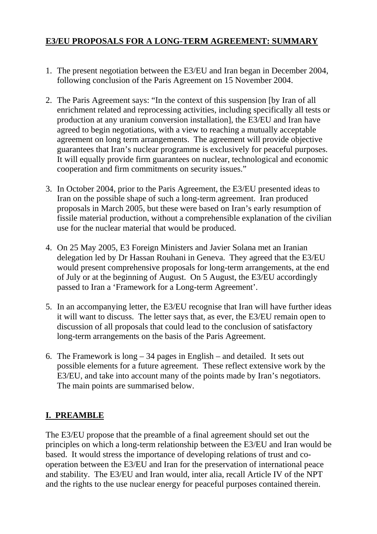## **E3/EU PROPOSALS FOR A LONG-TERM AGREEMENT: SUMMARY**

- 1. The present negotiation between the E3/EU and Iran began in December 2004, following conclusion of the Paris Agreement on 15 November 2004.
- 2. The Paris Agreement says: "In the context of this suspension [by Iran of all enrichment related and reprocessing activities, including specifically all tests or production at any uranium conversion installation], the E3/EU and Iran have agreed to begin negotiations, with a view to reaching a mutually acceptable agreement on long term arrangements. The agreement will provide objective guarantees that Iran's nuclear programme is exclusively for peaceful purposes. It will equally provide firm guarantees on nuclear, technological and economic cooperation and firm commitments on security issues."
- 3. In October 2004, prior to the Paris Agreement, the E3/EU presented ideas to Iran on the possible shape of such a long-term agreement. Iran produced proposals in March 2005, but these were based on Iran's early resumption of fissile material production, without a comprehensible explanation of the civilian use for the nuclear material that would be produced.
- 4. On 25 May 2005, E3 Foreign Ministers and Javier Solana met an Iranian delegation led by Dr Hassan Rouhani in Geneva. They agreed that the E3/EU would present comprehensive proposals for long-term arrangements, at the end of July or at the beginning of August. On 5 August, the E3/EU accordingly passed to Iran a 'Framework for a Long-term Agreement'.
- 5. In an accompanying letter, the E3/EU recognise that Iran will have further ideas it will want to discuss. The letter says that, as ever, the E3/EU remain open to discussion of all proposals that could lead to the conclusion of satisfactory long-term arrangements on the basis of the Paris Agreement.
- 6. The Framework is long 34 pages in English and detailed. It sets out possible elements for a future agreement. These reflect extensive work by the E3/EU, and take into account many of the points made by Iran's negotiators. The main points are summarised below.

#### **I. PREAMBLE**

The E3/EU propose that the preamble of a final agreement should set out the principles on which a long-term relationship between the E3/EU and Iran would be based. It would stress the importance of developing relations of trust and cooperation between the E3/EU and Iran for the preservation of international peace and stability. The E3/EU and Iran would, inter alia, recall Article IV of the NPT and the rights to the use nuclear energy for peaceful purposes contained therein.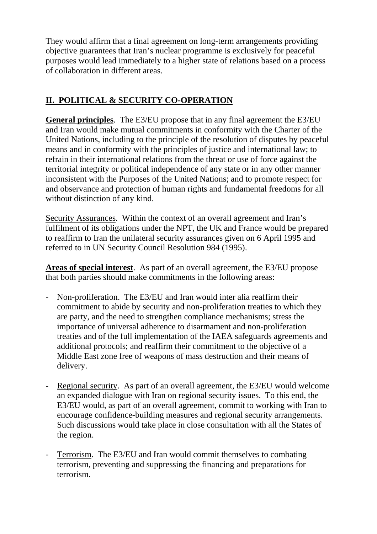They would affirm that a final agreement on long-term arrangements providing objective guarantees that Iran's nuclear programme is exclusively for peaceful purposes would lead immediately to a higher state of relations based on a process of collaboration in different areas.

## **II. POLITICAL & SECURITY CO-OPERATION**

**General principles**. The E3/EU propose that in any final agreement the E3/EU and Iran would make mutual commitments in conformity with the Charter of the United Nations, including to the principle of the resolution of disputes by peaceful means and in conformity with the principles of justice and international law; to refrain in their international relations from the threat or use of force against the territorial integrity or political independence of any state or in any other manner inconsistent with the Purposes of the United Nations; and to promote respect for and observance and protection of human rights and fundamental freedoms for all without distinction of any kind.

Security Assurances. Within the context of an overall agreement and Iran's fulfilment of its obligations under the NPT, the UK and France would be prepared to reaffirm to Iran the unilateral security assurances given on 6 April 1995 and referred to in UN Security Council Resolution 984 (1995).

**Areas of special interest**. As part of an overall agreement, the E3/EU propose that both parties should make commitments in the following areas:

- Non-proliferation. The E3/EU and Iran would inter alia reaffirm their commitment to abide by security and non-proliferation treaties to which they are party, and the need to strengthen compliance mechanisms; stress the importance of universal adherence to disarmament and non-proliferation treaties and of the full implementation of the IAEA safeguards agreements and additional protocols; and reaffirm their commitment to the objective of a Middle East zone free of weapons of mass destruction and their means of delivery.
- Regional security.As part of an overall agreement, the E3/EU would welcome an expanded dialogue with Iran on regional security issues. To this end, the E3/EU would, as part of an overall agreement, commit to working with Iran to encourage confidence-building measures and regional security arrangements. Such discussions would take place in close consultation with all the States of the region.
- Terrorism. The E3/EU and Iran would commit themselves to combating terrorism, preventing and suppressing the financing and preparations for terrorism.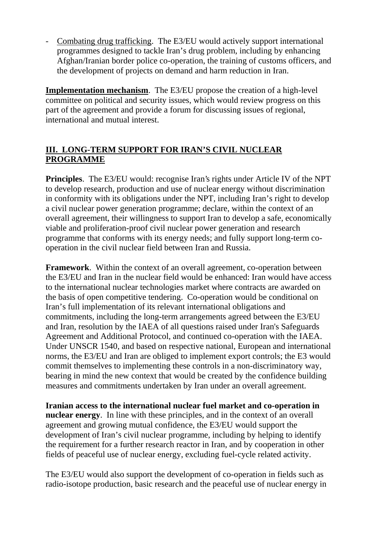- Combating drug trafficking. The E3/EU would actively support international programmes designed to tackle Iran's drug problem, including by enhancing Afghan/Iranian border police co-operation, the training of customs officers, and the development of projects on demand and harm reduction in Iran.

**Implementation mechanism**. The E3/EU propose the creation of a high-level committee on political and security issues, which would review progress on this part of the agreement and provide a forum for discussing issues of regional, international and mutual interest.

#### **III. LONG-TERM SUPPORT FOR IRAN'S CIVIL NUCLEAR PROGRAMME**

**Principles**. The E3/EU would: recognise Iran's rights under Article IV of the NPT to develop research, production and use of nuclear energy without discrimination in conformity with its obligations under the NPT, including Iran's right to develop a civil nuclear power generation programme; declare, within the context of an overall agreement, their willingness to support Iran to develop a safe, economically viable and proliferation-proof civil nuclear power generation and research programme that conforms with its energy needs; and fully support long-term cooperation in the civil nuclear field between Iran and Russia.

**Framework**. Within the context of an overall agreement, co-operation between the E3/EU and Iran in the nuclear field would be enhanced: Iran would have access to the international nuclear technologies market where contracts are awarded on the basis of open competitive tendering. Co-operation would be conditional on Iran's full implementation of its relevant international obligations and commitments, including the long-term arrangements agreed between the E3/EU and Iran, resolution by the IAEA of all questions raised under Iran's Safeguards Agreement and Additional Protocol, and continued co-operation with the IAEA. Under UNSCR 1540, and based on respective national, European and international norms, the E3/EU and Iran are obliged to implement export controls; the E3 would commit themselves to implementing these controls in a non-discriminatory way, bearing in mind the new context that would be created by the confidence building measures and commitments undertaken by Iran under an overall agreement.

**Iranian access to the international nuclear fuel market and co-operation in nuclear energy**. In line with these principles, and in the context of an overall agreement and growing mutual confidence, the E3/EU would support the development of Iran's civil nuclear programme, including by helping to identify the requirement for a further research reactor in Iran, and by cooperation in other fields of peaceful use of nuclear energy, excluding fuel-cycle related activity.

The E3/EU would also support the development of co-operation in fields such as radio-isotope production, basic research and the peaceful use of nuclear energy in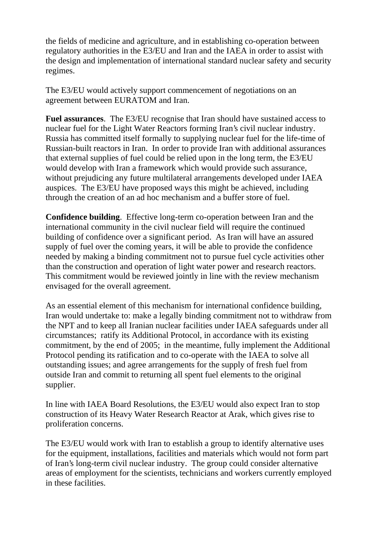the fields of medicine and agriculture, and in establishing co-operation between regulatory authorities in the E3/EU and Iran and the IAEA in order to assist with the design and implementation of international standard nuclear safety and security regimes.

The E3/EU would actively support commencement of negotiations on an agreement between EURATOM and Iran.

**Fuel assurances**. The E3/EU recognise that Iran should have sustained access to nuclear fuel for the Light Water Reactors forming Iran's civil nuclear industry. Russia has committed itself formally to supplying nuclear fuel for the life-time of Russian-built reactors in Iran. In order to provide Iran with additional assurances that external supplies of fuel could be relied upon in the long term, the E3/EU would develop with Iran a framework which would provide such assurance, without prejudicing any future multilateral arrangements developed under IAEA auspices. The E3/EU have proposed ways this might be achieved, including through the creation of an ad hoc mechanism and a buffer store of fuel.

**Confidence building**. Effective long-term co-operation between Iran and the international community in the civil nuclear field will require the continued building of confidence over a significant period. As Iran will have an assured supply of fuel over the coming years, it will be able to provide the confidence needed by making a binding commitment not to pursue fuel cycle activities other than the construction and operation of light water power and research reactors. This commitment would be reviewed jointly in line with the review mechanism envisaged for the overall agreement.

As an essential element of this mechanism for international confidence building, Iran would undertake to: make a legally binding commitment not to withdraw from the NPT and to keep all Iranian nuclear facilities under IAEA safeguards under all circumstances; ratify its Additional Protocol, in accordance with its existing commitment, by the end of 2005; in the meantime, fully implement the Additional Protocol pending its ratification and to co-operate with the IAEA to solve all outstanding issues; and agree arrangements for the supply of fresh fuel from outside Iran and commit to returning all spent fuel elements to the original supplier.

In line with IAEA Board Resolutions, the E3/EU would also expect Iran to stop construction of its Heavy Water Research Reactor at Arak, which gives rise to proliferation concerns.

The E3/EU would work with Iran to establish a group to identify alternative uses for the equipment, installations, facilities and materials which would not form part of Iran's long-term civil nuclear industry. The group could consider alternative areas of employment for the scientists, technicians and workers currently employed in these facilities.